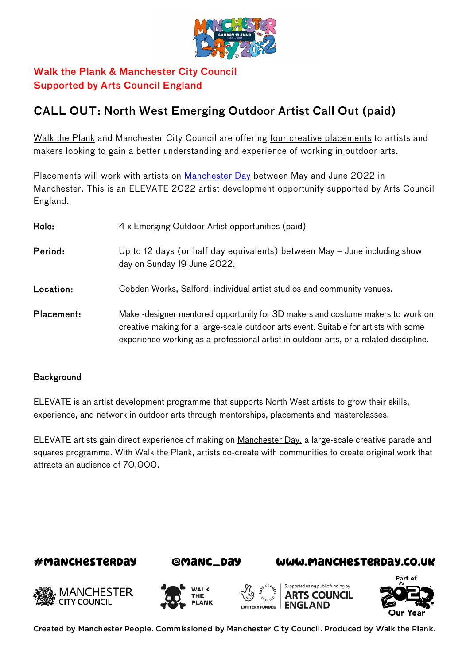

# Walk the Plank & Manchester City Council Supported by Arts Council England

# CALL OUT: North West Emerging Outdoor Artist Call Out (paid)

[Walk the Plank](http://www.walktheplank.co.uk/) and Manchester City Council are offering four creative placements to artists and makers looking to gain a better understanding and experience of working in outdoor arts.

Placements will work with artists on [Manchester Day](https://manchesterday.co.uk/) between May and June 2022 in Manchester. This is an ELEVATE 2022 artist development opportunity supported by Arts Council England.

| Role:      | 4 x Emerging Outdoor Artist opportunities (paid)                                                                                                                                                                                                                 |
|------------|------------------------------------------------------------------------------------------------------------------------------------------------------------------------------------------------------------------------------------------------------------------|
| Period:    | Up to 12 days (or half day equivalents) between May $-$ June including show<br>day on Sunday 19 June 2022.                                                                                                                                                       |
| Location:  | Cobden Works, Salford, individual artist studios and community venues.                                                                                                                                                                                           |
| Placement: | Maker-designer mentored opportunity for 3D makers and costume makers to work on<br>creative making for a large-scale outdoor arts event. Suitable for artists with some<br>experience working as a professional artist in outdoor arts, or a related discipline. |

#### **Background**

ELEVATE is an artist development programme that supports North West artists to grow their skills, experience, and network in outdoor arts through mentorships, placements and masterclasses.

ELEVATE artists gain direct experience of making on [Manchester Day,](http://www.manchesterday.co.uk/) a large-scale creative parade and squares programme. With Walk the Plank, artists co-create with communities to create original work that attracts an audience of 70,000.





#### WWW.MANCHESTERDAY.CO.UK











Created by Manchester People. Commissioned by Manchester City Council. Produced by Walk the Plank.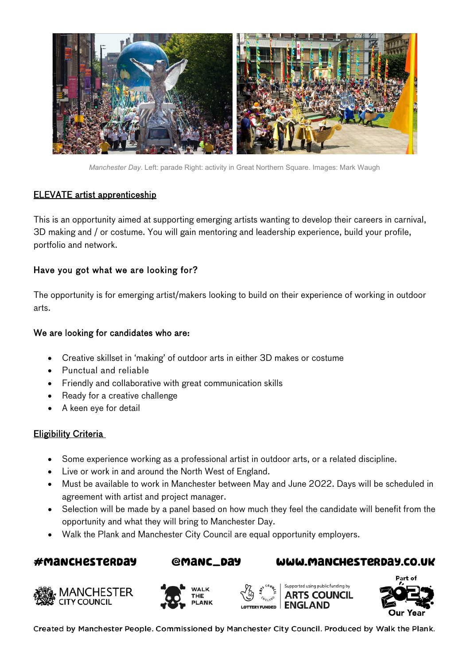

*Manchester Day*. Left: parade Right: activity in Great Northern Square. Images: Mark Waugh

#### ELEVATE artist apprenticeship

This is an opportunity aimed at supporting emerging artists wanting to develop their careers in carnival, 3D making and / or costume. You will gain mentoring and leadership experience, build your profile, portfolio and network.

# Have you got what we are looking for?

The opportunity is for emerging artist/makers looking to build on their experience of working in outdoor arts.

#### We are looking for candidates who are:

- Creative skillset in 'making' of outdoor arts in either 3D makes or costume
- Punctual and reliable
- Friendly and collaborative with great communication skills
- Ready for a creative challenge
- A keen eye for detail

#### **Eligibility Criteria**

- Some experience working as a professional artist in outdoor arts, or a related discipline.
- Live or work in and around the North West of England.
- Must be available to work in Manchester between May and June 2022. Days will be scheduled in agreement with artist and project manager.
- Selection will be made by a panel based on how much they feel the candidate will benefit from the opportunity and what they will bring to Manchester Day.
- Walk the Plank and Manchester City Council are equal opportunity employers.

# #MANCHESTERDAY















Created by Manchester People. Commissioned by Manchester City Council. Produced by Walk the Plank.